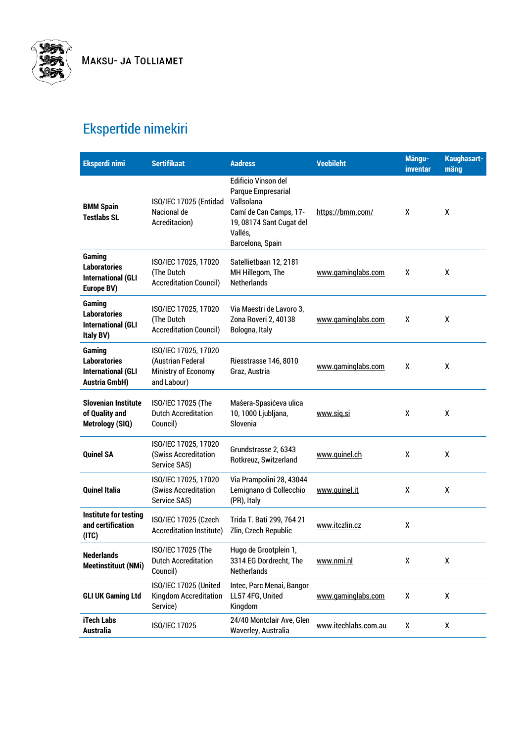

## Ekspertide nimekiri

| <b>Eksperdi nimi</b>                                                               | <b>Sertifikaat</b>                                                              | <b>Aadress</b>                                                                                                                                      | <b>Veebileht</b>     | Mängu-<br>inventar | Kaughasart-<br>mäng |
|------------------------------------------------------------------------------------|---------------------------------------------------------------------------------|-----------------------------------------------------------------------------------------------------------------------------------------------------|----------------------|--------------------|---------------------|
| <b>BMM Spain</b><br><b>Testlabs SL</b>                                             | ISO/IEC 17025 (Entidad<br>Nacional de<br>Acreditacion)                          | <b>Edificio Vinson del</b><br>Parque Empresarial<br>Vallsolana<br>Camí de Can Camps, 17-<br>19, 08174 Sant Cugat del<br>Vallés,<br>Barcelona, Spain | https://bmm.com/     | x                  | X                   |
| Gaming<br><b>Laboratories</b><br><b>International (GLI</b><br>Europe BV)           | ISO/IEC 17025, 17020<br>(The Dutch<br><b>Accreditation Council)</b>             | Satellietbaan 12, 2181<br>MH Hillegom, The<br><b>Netherlands</b>                                                                                    | www.gaminglabs.com   | X                  | χ                   |
| Gaming<br><b>Laboratories</b><br><b>International (GLI</b><br>Italy BV)            | ISO/IEC 17025, 17020<br>(The Dutch<br><b>Accreditation Council)</b>             | Via Maestri de Lavoro 3,<br>Zona Roveri 2, 40138<br>Bologna, Italy                                                                                  | www.gaminglabs.com   | X                  | X                   |
| Gaming<br><b>Laboratories</b><br><b>International (GLI</b><br><b>Austria GmbH)</b> | ISO/IEC 17025, 17020<br>(Austrian Federal<br>Ministry of Economy<br>and Labour) | Riesstrasse 146, 8010<br>Graz, Austria                                                                                                              | www.gaminglabs.com   | X                  | X                   |
| <b>Slovenian Institute</b><br>of Quality and<br>Metrology (SIQ)                    | ISO/IEC 17025 (The<br><b>Dutch Accreditation</b><br>Council)                    | Mašera-Spasićeva ulica<br>10, 1000 Ljubljana,<br>Slovenia                                                                                           | www.sig.si           | X                  | X                   |
| <b>Quinel SA</b>                                                                   | ISO/IEC 17025, 17020<br>(Swiss Accreditation<br>Service SAS)                    | Grundstrasse 2, 6343<br>Rotkreuz, Switzerland                                                                                                       | www.quinel.ch        | X                  | X                   |
| <b>Quinel Italia</b>                                                               | ISO/IEC 17025, 17020<br>(Swiss Accreditation<br>Service SAS)                    | Via Prampolini 28, 43044<br>Lemignano di Collecchio<br>(PR), Italy                                                                                  | www.quinel.it        | X                  | χ                   |
| Institute for testing<br>and certification<br>(ITC)                                | ISO/IEC 17025 (Czech<br><b>Accreditation Institute)</b>                         | Trida T. Bati 299, 764 21<br>Zlin, Czech Republic                                                                                                   | www.itczlin.cz       | χ                  |                     |
| <b>Nederlands</b><br><b>Meetinstituut (NMi)</b>                                    | ISO/IEC 17025 (The<br><b>Dutch Accreditation</b><br>Council)                    | Hugo de Grootplein 1,<br>3314 EG Dordrecht, The<br><b>Netherlands</b>                                                                               | www.nmi.nl           | χ                  | χ                   |
| <b>GLI UK Gaming Ltd</b>                                                           | ISO/IEC 17025 (United<br>Kingdom Accreditation<br>Service)                      | Intec, Parc Menai, Bangor<br>LL57 4FG, United<br>Kingdom                                                                                            | www.gaminglabs.com   | χ                  | χ                   |
| iTech Labs<br><b>Australia</b>                                                     | ISO/IEC 17025                                                                   | 24/40 Montclair Ave, Glen<br>Waverley, Australia                                                                                                    | www.itechlabs.com.au | χ                  | χ                   |